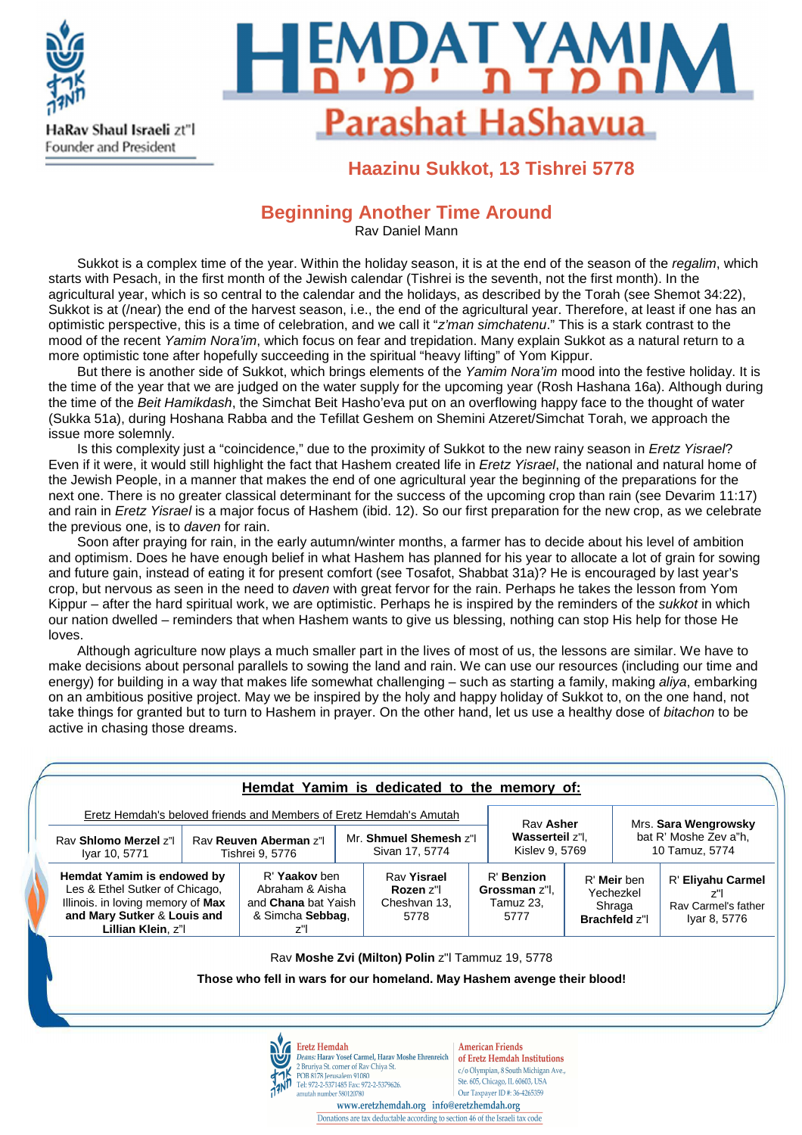



### **Haazinu Sukkot, 13 Tishrei 5778**

#### **Beginning Another Time Around**

Rav Daniel Mann

Sukkot is a complex time of the year. Within the holiday season, it is at the end of the season of the regalim, which starts with Pesach, in the first month of the Jewish calendar (Tishrei is the seventh, not the first month). In the agricultural year, which is so central to the calendar and the holidays, as described by the Torah (see Shemot 34:22), Sukkot is at (/near) the end of the harvest season, i.e., the end of the agricultural year. Therefore, at least if one has an optimistic perspective, this is a time of celebration, and we call it "z'man simchatenu." This is a stark contrast to the mood of the recent Yamim Nora'im, which focus on fear and trepidation. Many explain Sukkot as a natural return to a more optimistic tone after hopefully succeeding in the spiritual "heavy lifting" of Yom Kippur.

But there is another side of Sukkot, which brings elements of the Yamim Nora'im mood into the festive holiday. It is the time of the year that we are judged on the water supply for the upcoming year (Rosh Hashana 16a). Although during the time of the Beit Hamikdash, the Simchat Beit Hasho'eva put on an overflowing happy face to the thought of water (Sukka 51a), during Hoshana Rabba and the Tefillat Geshem on Shemini Atzeret/Simchat Torah, we approach the issue more solemnly.

Is this complexity just a "coincidence," due to the proximity of Sukkot to the new rainy season in Eretz Yisrael? Even if it were, it would still highlight the fact that Hashem created life in Eretz Yisrael, the national and natural home of the Jewish People, in a manner that makes the end of one agricultural year the beginning of the preparations for the next one. There is no greater classical determinant for the success of the upcoming crop than rain (see Devarim 11:17) and rain in Eretz Yisrael is a major focus of Hashem (ibid. 12). So our first preparation for the new crop, as we celebrate the previous one, is to daven for rain.

Soon after praying for rain, in the early autumn/winter months, a farmer has to decide about his level of ambition and optimism. Does he have enough belief in what Hashem has planned for his year to allocate a lot of grain for sowing and future gain, instead of eating it for present comfort (see Tosafot, Shabbat 31a)? He is encouraged by last year's crop, but nervous as seen in the need to *daven* with great fervor for the rain. Perhaps he takes the lesson from Yom Kippur – after the hard spiritual work, we are optimistic. Perhaps he is inspired by the reminders of the sukkot in which our nation dwelled – reminders that when Hashem wants to give us blessing, nothing can stop His help for those He loves.

Although agriculture now plays a much smaller part in the lives of most of us, the lessons are similar. We have to make decisions about personal parallels to sowing the land and rain. We can use our resources (including our time and energy) for building in a way that makes life somewhat challenging – such as starting a family, making aliya, embarking on an ambitious positive project. May we be inspired by the holy and happy holiday of Sukkot to, on the one hand, not take things for granted but to turn to Hashem in prayer. On the other hand, let us use a healthy dose of bitachon to be active in chasing those dreams.

| <b>Eretz Hemdah's beloved friends and Members of Eretz Hemdah's Amutah</b><br>Rav Shlomo Merzel z"<br>Iyar 10, 5771                                    |  | Rav Reuven Aberman z"l<br>Tishrei 9, 5776                                          |  | Mr. Shmuel Shemesh z"I<br>Sivan 17, 5774                                                                                    |  | Rav Asher<br>Wasserteil z"l.<br>Kislev 9, 5769   |                                                     | Mrs. Sara Wengrowsky<br>bat R' Moshe Zev a"h,<br>10 Tamuz, 5774 |                                                                 |
|--------------------------------------------------------------------------------------------------------------------------------------------------------|--|------------------------------------------------------------------------------------|--|-----------------------------------------------------------------------------------------------------------------------------|--|--------------------------------------------------|-----------------------------------------------------|-----------------------------------------------------------------|-----------------------------------------------------------------|
| Hemdat Yamim is endowed by<br>Les & Ethel Sutker of Chicago,<br>Illinois. in loving memory of Max<br>and Mary Sutker & Louis and<br>Lillian Klein, z"l |  | R' Yaakov ben<br>Abraham & Aisha<br>and Chana bat Yaish<br>& Simcha Sebbag,<br>z"l |  | Rav Yisrael<br>Rozen z"l<br>Cheshvan 13,<br>5778                                                                            |  | R' Benzion<br>Grossman z"l.<br>Tamuz 23.<br>5777 | R' Meir ben<br>Yechezkel<br>Shraga<br>Brachfeld z"l |                                                                 | R' Eliyahu Carmel<br>z"l<br>Ray Carmel's father<br>Iyar 8, 5776 |
|                                                                                                                                                        |  |                                                                                    |  | Rav Moshe Zvi (Milton) Polin z"I Tammuz 19, 5778<br>Those who fell in wars for our homeland. May Hashem avenge their blood! |  |                                                  |                                                     |                                                                 |                                                                 |



amutah number 58012078

Deans: Harav Yosef Carmel, Harav Moshe Ehrenreich of Eretz Hemdah Institutions c/o Olympian, 8 South Michigan Ave., Ste. 605, Chicago, IL 60603, USA Our Taxpayer ID #: 36-4265359

www.eretzhemdah.org info@eretzhemdah.org Donations are tax deductable according to section 46 of the Israeli tax code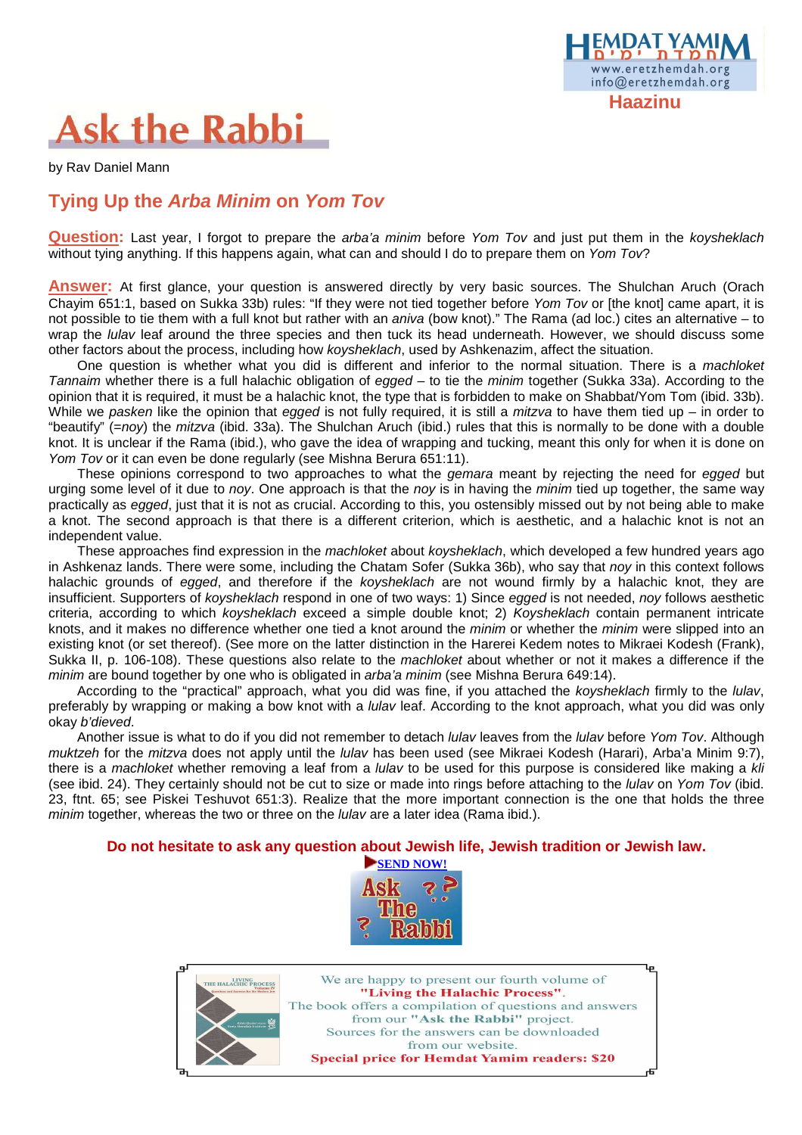

# **Ask the Rabbi**

by Rav Daniel Mann

### **Tying Up the Arba Minim on Yom Tov**

**Question:** Last year, I forgot to prepare the *arba'a minim* before Yom Tov and just put them in the koysheklach without tying anything. If this happens again, what can and should I do to prepare them on Yom Tov?

**Answer:** At first glance, your question is answered directly by very basic sources. The Shulchan Aruch (Orach Chayim 651:1, based on Sukka 33b) rules: "If they were not tied together before Yom Tov or [the knot] came apart, it is not possible to tie them with a full knot but rather with an aniva (bow knot)." The Rama (ad loc.) cites an alternative – to wrap the *lulav* leaf around the three species and then tuck its head underneath. However, we should discuss some other factors about the process, including how koysheklach, used by Ashkenazim, affect the situation.

One question is whether what you did is different and inferior to the normal situation. There is a machloket Tannaim whether there is a full halachic obligation of egged – to tie the minim together (Sukka 33a). According to the opinion that it is required, it must be a halachic knot, the type that is forbidden to make on Shabbat/Yom Tom (ibid. 33b). While we pasken like the opinion that egged is not fully required, it is still a mitzva to have them tied up – in order to "beautify" (=nov) the mitzva (ibid. 33a). The Shulchan Aruch (ibid.) rules that this is normally to be done with a double knot. It is unclear if the Rama (ibid.), who gave the idea of wrapping and tucking, meant this only for when it is done on Yom Tov or it can even be done regularly (see Mishna Berura 651:11).

These opinions correspond to two approaches to what the *gemara* meant by rejecting the need for egged but urging some level of it due to noy. One approach is that the noy is in having the minim tied up together, the same way practically as egged, just that it is not as crucial. According to this, you ostensibly missed out by not being able to make a knot. The second approach is that there is a different criterion, which is aesthetic, and a halachic knot is not an independent value.

These approaches find expression in the machloket about koysheklach, which developed a few hundred years ago in Ashkenaz lands. There were some, including the Chatam Sofer (Sukka 36b), who say that noy in this context follows halachic grounds of egged, and therefore if the koysheklach are not wound firmly by a halachic knot, they are insufficient. Supporters of koysheklach respond in one of two ways: 1) Since egged is not needed, noy follows aesthetic criteria, according to which koysheklach exceed a simple double knot; 2) Koysheklach contain permanent intricate knots, and it makes no difference whether one tied a knot around the *minim* or whether the *minim* were slipped into an existing knot (or set thereof). (See more on the latter distinction in the Harerei Kedem notes to Mikraei Kodesh (Frank), Sukka II, p. 106-108). These questions also relate to the *machloket* about whether or not it makes a difference if the minim are bound together by one who is obligated in *arba'a minim* (see Mishna Berura 649:14).

According to the "practical" approach, what you did was fine, if you attached the koysheklach firmly to the lulav, preferably by wrapping or making a bow knot with a *lulav* leaf. According to the knot approach, what you did was only okay b'dieved.

Another issue is what to do if you did not remember to detach *lulav* leaves from the *lulav* before Yom Tov. Although muktzeh for the mitzva does not apply until the *lulav* has been used (see Mikraei Kodesh (Harari), Arba'a Minim 9:7), there is a machloket whether removing a leaf from a *lulav* to be used for this purpose is considered like making a kli (see ibid. 24). They certainly should not be cut to size or made into rings before attaching to the *lulav* on Yom Tov (ibid. 23, ftnt. 65; see Piskei Teshuvot 651:3). Realize that the more important connection is the one that holds the three minim together, whereas the two or three on the *lulav* are a later idea (Rama ibid.).

#### **Do not hesitate to ask any question about Jewish life, Jewish tradition or Jewish law.**





We are happy to present our fourth volume of "Living the Halachic Process". The book offers a compilation of questions and answers from our "Ask the Rabbi" project. Sources for the answers can be downloaded from our website. **Special price for Hemdat Yamim readers: \$20**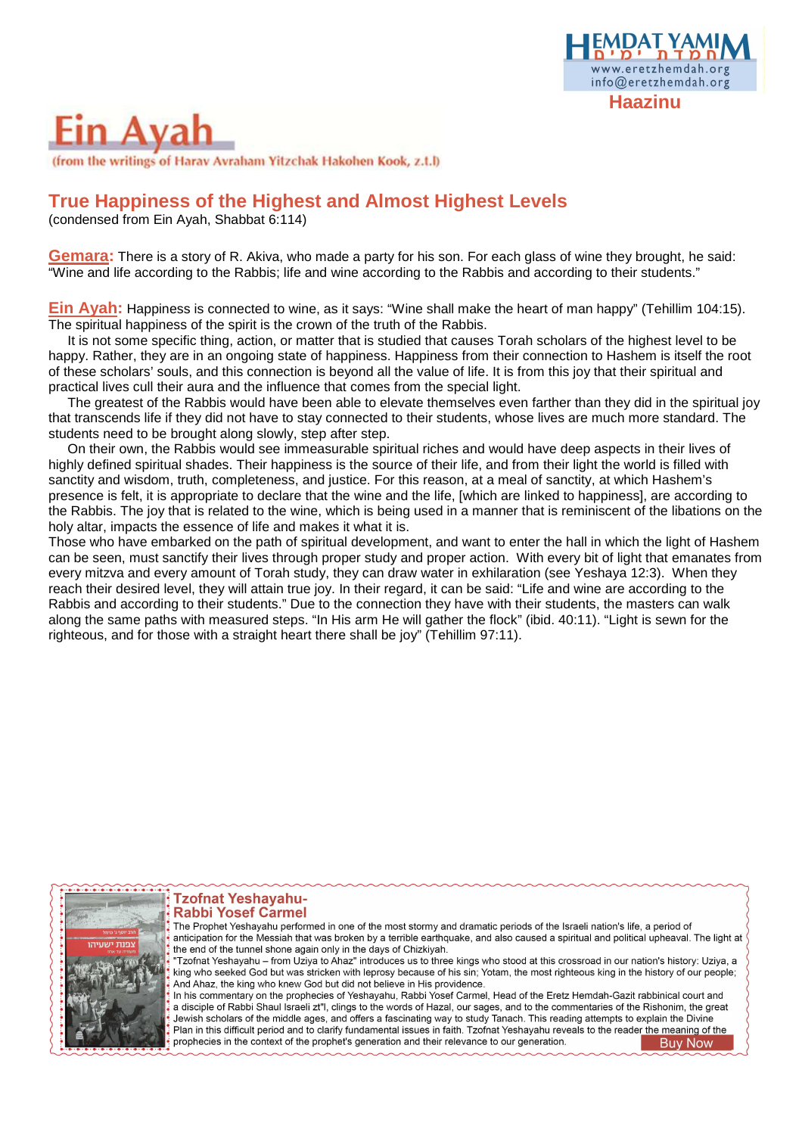## www.eretzhemdah.org info@eretzhemdah.org  **Haazinu**

# in Ava

(from the writings of Harav Avraham Yitzchak Hakohen Kook, z.t.l)

### **True Happiness of the Highest and Almost Highest Levels**

(condensed from Ein Ayah, Shabbat 6:114)

**Gemara:** There is a story of R. Akiva, who made a party for his son. For each glass of wine they brought, he said: "Wine and life according to the Rabbis; life and wine according to the Rabbis and according to their students."

**Ein Ayah:** Happiness is connected to wine, as it says: "Wine shall make the heart of man happy" (Tehillim 104:15). The spiritual happiness of the spirit is the crown of the truth of the Rabbis.

It is not some specific thing, action, or matter that is studied that causes Torah scholars of the highest level to be happy. Rather, they are in an ongoing state of happiness. Happiness from their connection to Hashem is itself the root of these scholars' souls, and this connection is beyond all the value of life. It is from this joy that their spiritual and practical lives cull their aura and the influence that comes from the special light.

The greatest of the Rabbis would have been able to elevate themselves even farther than they did in the spiritual joy that transcends life if they did not have to stay connected to their students, whose lives are much more standard. The students need to be brought along slowly, step after step.

On their own, the Rabbis would see immeasurable spiritual riches and would have deep aspects in their lives of highly defined spiritual shades. Their happiness is the source of their life, and from their light the world is filled with sanctity and wisdom, truth, completeness, and justice. For this reason, at a meal of sanctity, at which Hashem's presence is felt, it is appropriate to declare that the wine and the life, [which are linked to happiness], are according to the Rabbis. The joy that is related to the wine, which is being used in a manner that is reminiscent of the libations on the holy altar, impacts the essence of life and makes it what it is.

Those who have embarked on the path of spiritual development, and want to enter the hall in which the light of Hashem can be seen, must sanctify their lives through proper study and proper action. With every bit of light that emanates from every mitzva and every amount of Torah study, they can draw water in exhilaration (see Yeshaya 12:3). When they reach their desired level, they will attain true joy. In their regard, it can be said: "Life and wine are according to the Rabbis and according to their students." Due to the connection they have with their students, the masters can walk along the same paths with measured steps. "In His arm He will gather the flock" (ibid. 40:11). "Light is sewn for the righteous, and for those with a straight heart there shall be joy" (Tehillim 97:11).



**Tzofnat Yeshayahu-Rabbi Yosef Carmel** 

The Prophet Yeshayahu performed in one of the most stormy and dramatic periods of the Israeli nation's life, a period of anticipation for the Messiah that was broken by a terrible earthquake, and also caused a spiritual and political upheaval. The light at the end of the tunnel shone again only in the days of Chizkiyah.

Tzofnat Yeshayahu - from Uziya to Ahaz" introduces us to three kings who stood at this crossroad in our nation's history: Uziya, a king who seeked God but was stricken with leprosy because of his sin; Yotam, the most righteous king in the history of our people; And Ahaz, the king who knew God but did not believe in His providence.

In his commentary on the prophecies of Yeshayahu, Rabbi Yosef Carmel, Head of the Eretz Hemdah-Gazit rabbinical court and a disciple of Rabbi Shaul Israeli zt"l, clings to the words of Hazal, our sages, and to the commentaries of the Rishonim, the great Jewish scholars of the middle ages, and offers a fascinating way to study Tanach. This reading attempts to explain the Divine Plan in this difficult period and to clarify fundamental issues in faith. Tzofnat Yeshayahu reveals to the reader the meaning of the prophecies in the context of the prophet's generation and their relevance to our generation. Buy Now